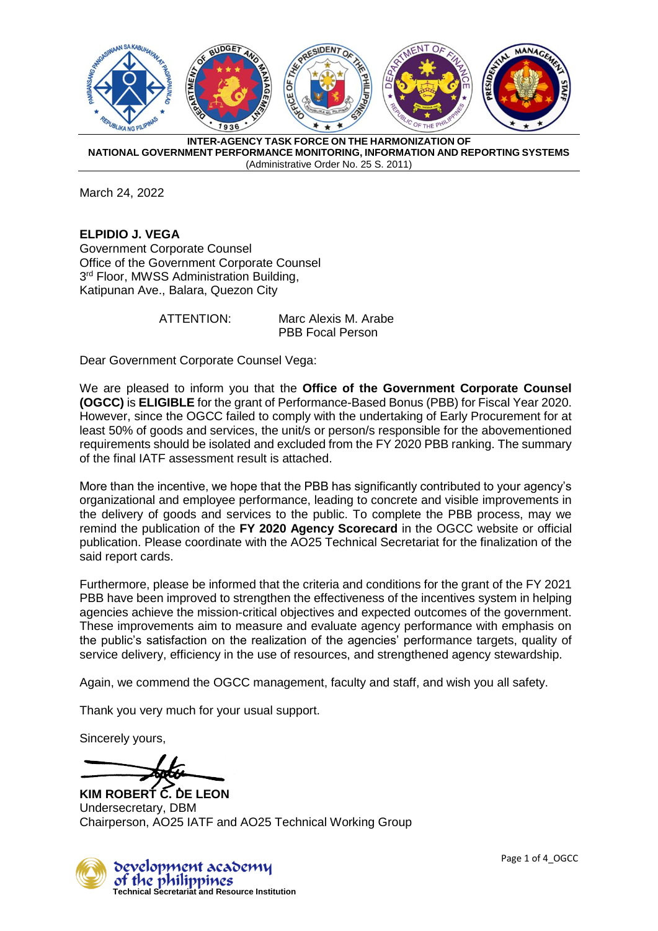

March 24, 2022

**ELPIDIO J. VEGA** Government Corporate Counsel Office of the Government Corporate Counsel 3<sup>rd</sup> Floor, MWSS Administration Building, Katipunan Ave., Balara, Quezon City

ATTENTION: Marc Alexis M. Arabe PBB Focal Person

Dear Government Corporate Counsel Vega:

We are pleased to inform you that the **Office of the Government Corporate Counsel (OGCC)** is **ELIGIBLE** for the grant of Performance-Based Bonus (PBB) for Fiscal Year 2020. However, since the OGCC failed to comply with the undertaking of Early Procurement for at least 50% of goods and services, the unit/s or person/s responsible for the abovementioned requirements should be isolated and excluded from the FY 2020 PBB ranking. The summary of the final IATF assessment result is attached.

More than the incentive, we hope that the PBB has significantly contributed to your agency's organizational and employee performance, leading to concrete and visible improvements in the delivery of goods and services to the public. To complete the PBB process, may we remind the publication of the **FY 2020 Agency Scorecard** in the OGCC website or official publication. Please coordinate with the AO25 Technical Secretariat for the finalization of the said report cards.

Furthermore, please be informed that the criteria and conditions for the grant of the FY 2021 PBB have been improved to strengthen the effectiveness of the incentives system in helping agencies achieve the mission-critical objectives and expected outcomes of the government. These improvements aim to measure and evaluate agency performance with emphasis on the public's satisfaction on the realization of the agencies' performance targets, quality of service delivery, efficiency in the use of resources, and strengthened agency stewardship.

Again, we commend the OGCC management, faculty and staff, and wish you all safety.

Thank you very much for your usual support.

Sincerely yours,

**KIM ROBERT C. DE LEON** Undersecretary, DBM Chairperson, AO25 IATF and AO25 Technical Working Group



Page 1 of 4 OGCC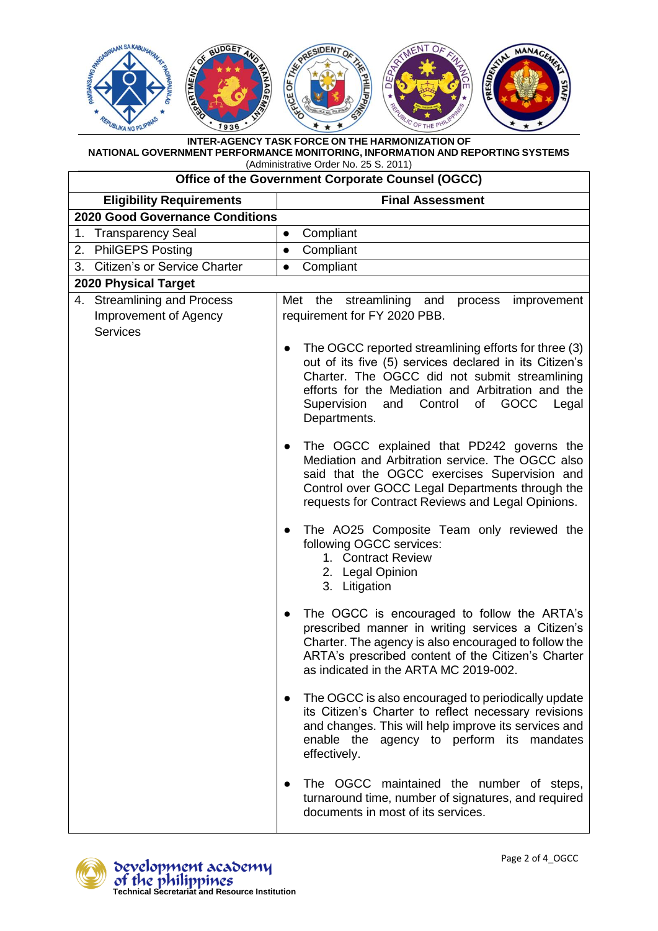

| Office of the Government Corporate Counsel (OGCC) |                                                                                                                                                                                                                                                                                              |  |
|---------------------------------------------------|----------------------------------------------------------------------------------------------------------------------------------------------------------------------------------------------------------------------------------------------------------------------------------------------|--|
| <b>Eligibility Requirements</b>                   | <b>Final Assessment</b>                                                                                                                                                                                                                                                                      |  |
| <b>2020 Good Governance Conditions</b>            |                                                                                                                                                                                                                                                                                              |  |
| <b>Transparency Seal</b><br>1.                    | Compliant<br>$\bullet$                                                                                                                                                                                                                                                                       |  |
| <b>PhilGEPS Posting</b><br>2.                     | Compliant<br>$\bullet$                                                                                                                                                                                                                                                                       |  |
| 3. Citizen's or Service Charter                   | Compliant<br>$\bullet$                                                                                                                                                                                                                                                                       |  |
| 2020 Physical Target                              |                                                                                                                                                                                                                                                                                              |  |
| 4. Streamlining and Process                       | Met the streamlining and<br>process<br>improvement                                                                                                                                                                                                                                           |  |
| Improvement of Agency                             | requirement for FY 2020 PBB.                                                                                                                                                                                                                                                                 |  |
| <b>Services</b>                                   | The OGCC reported streamlining efforts for three (3)<br>out of its five (5) services declared in its Citizen's<br>Charter. The OGCC did not submit streamlining<br>efforts for the Mediation and Arbitration and the<br>Supervision<br>Control<br>of<br>GOCC<br>and<br>Legal<br>Departments. |  |
|                                                   | The OGCC explained that PD242 governs the<br>$\bullet$<br>Mediation and Arbitration service. The OGCC also<br>said that the OGCC exercises Supervision and<br>Control over GOCC Legal Departments through the<br>requests for Contract Reviews and Legal Opinions.                           |  |
|                                                   | The AO25 Composite Team only reviewed the<br>$\bullet$<br>following OGCC services:<br>1. Contract Review<br>2. Legal Opinion<br>3. Litigation                                                                                                                                                |  |
|                                                   | The OGCC is encouraged to follow the ARTA's<br>prescribed manner in writing services a Citizen's<br>Charter. The agency is also encouraged to follow the<br>ARTA's prescribed content of the Citizen's Charter<br>as indicated in the ARTA MC 2019-002.                                      |  |
|                                                   | The OGCC is also encouraged to periodically update<br>$\bullet$<br>its Citizen's Charter to reflect necessary revisions<br>and changes. This will help improve its services and<br>enable the agency to perform its mandates<br>effectively.                                                 |  |
|                                                   | The OGCC maintained the number of steps,<br>$\bullet$<br>turnaround time, number of signatures, and required<br>documents in most of its services.                                                                                                                                           |  |

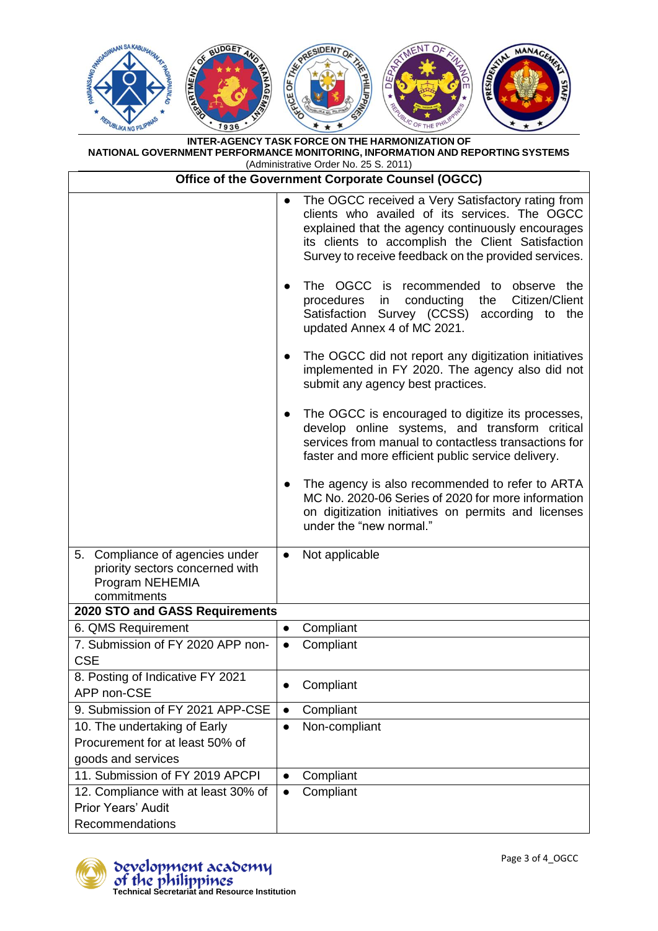

| Office of the Government Corporate Counsel (OGCC)                                                    |                                                                                                                                                                                                                                                                                                                                                                                                                                                                                                                                                                                                                                                                                                                                                                          |  |
|------------------------------------------------------------------------------------------------------|--------------------------------------------------------------------------------------------------------------------------------------------------------------------------------------------------------------------------------------------------------------------------------------------------------------------------------------------------------------------------------------------------------------------------------------------------------------------------------------------------------------------------------------------------------------------------------------------------------------------------------------------------------------------------------------------------------------------------------------------------------------------------|--|
|                                                                                                      | The OGCC received a Very Satisfactory rating from<br>$\bullet$<br>clients who availed of its services. The OGCC<br>explained that the agency continuously encourages<br>its clients to accomplish the Client Satisfaction<br>Survey to receive feedback on the provided services.<br>The OGCC is<br>recommended to observe the<br>$\bullet$<br>procedures<br>conducting<br>the<br>Citizen/Client<br>in<br>Satisfaction Survey (CCSS)<br>according to the<br>updated Annex 4 of MC 2021.<br>The OGCC did not report any digitization initiatives<br>$\bullet$<br>implemented in FY 2020. The agency also did not<br>submit any agency best practices.<br>The OGCC is encouraged to digitize its processes,<br>$\bullet$<br>develop online systems, and transform critical |  |
|                                                                                                      | services from manual to contactless transactions for<br>faster and more efficient public service delivery.                                                                                                                                                                                                                                                                                                                                                                                                                                                                                                                                                                                                                                                               |  |
|                                                                                                      | The agency is also recommended to refer to ARTA<br>$\bullet$<br>MC No. 2020-06 Series of 2020 for more information<br>on digitization initiatives on permits and licenses<br>under the "new normal."                                                                                                                                                                                                                                                                                                                                                                                                                                                                                                                                                                     |  |
| 5. Compliance of agencies under<br>priority sectors concerned with<br>Program NEHEMIA<br>commitments | Not applicable<br>$\bullet$                                                                                                                                                                                                                                                                                                                                                                                                                                                                                                                                                                                                                                                                                                                                              |  |
| 2020 STO and GASS Requirements                                                                       |                                                                                                                                                                                                                                                                                                                                                                                                                                                                                                                                                                                                                                                                                                                                                                          |  |
| 6. QMS Requirement                                                                                   | Compliant<br>$\bullet$                                                                                                                                                                                                                                                                                                                                                                                                                                                                                                                                                                                                                                                                                                                                                   |  |
| 7. Submission of FY 2020 APP non-<br><b>CSE</b>                                                      | Compliant                                                                                                                                                                                                                                                                                                                                                                                                                                                                                                                                                                                                                                                                                                                                                                |  |
| 8. Posting of Indicative FY 2021<br>APP non-CSE                                                      | Compliant<br>$\bullet$                                                                                                                                                                                                                                                                                                                                                                                                                                                                                                                                                                                                                                                                                                                                                   |  |
| 9. Submission of FY 2021 APP-CSE                                                                     | Compliant<br>$\bullet$                                                                                                                                                                                                                                                                                                                                                                                                                                                                                                                                                                                                                                                                                                                                                   |  |
| 10. The undertaking of Early<br>Procurement for at least 50% of<br>goods and services                | Non-compliant<br>$\bullet$                                                                                                                                                                                                                                                                                                                                                                                                                                                                                                                                                                                                                                                                                                                                               |  |
| 11. Submission of FY 2019 APCPI                                                                      | Compliant<br>$\bullet$                                                                                                                                                                                                                                                                                                                                                                                                                                                                                                                                                                                                                                                                                                                                                   |  |
| 12. Compliance with at least 30% of<br><b>Prior Years' Audit</b><br>Recommendations                  | Compliant<br>$\bullet$                                                                                                                                                                                                                                                                                                                                                                                                                                                                                                                                                                                                                                                                                                                                                   |  |